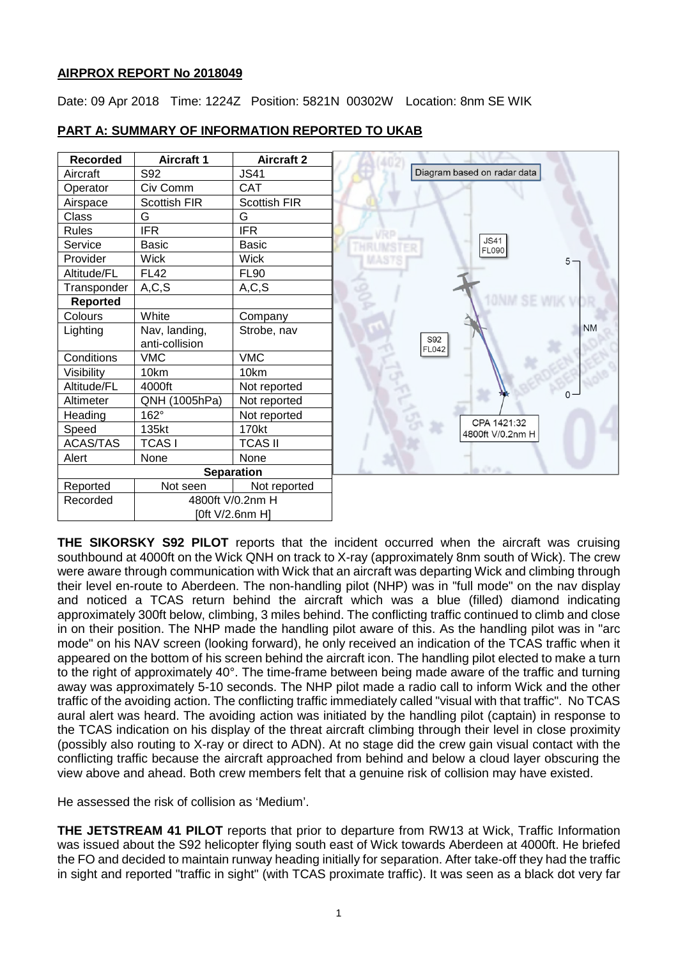### **AIRPROX REPORT No 2018049**

Date: 09 Apr 2018 Time: 1224Z Position: 5821N 00302W Location: 8nm SE WIK

| <b>Recorded</b> | <b>Aircraft 1</b> | <b>Aircraft 2</b>   |                             |
|-----------------|-------------------|---------------------|-----------------------------|
| Aircraft        | S92               | <b>JS41</b>         | Diagram based on radar data |
| Operator        | Civ Comm          | <b>CAT</b>          |                             |
| Airspace        | Scottish FIR      | <b>Scottish FIR</b> |                             |
| Class           | G                 | G                   |                             |
| <b>Rules</b>    | <b>IFR</b>        | <b>IFR</b>          |                             |
| Service         | <b>Basic</b>      | <b>Basic</b>        | <b>JS41</b><br><b>FL090</b> |
| Provider        | <b>Wick</b>       | <b>Wick</b>         |                             |
| Altitude/FL     | <b>FL42</b>       | <b>FL90</b>         |                             |
| Transponder     | A, C, S           | A, C, S             |                             |
| <b>Reported</b> |                   |                     |                             |
| Colours         | White             | Company             |                             |
| Lighting        | Nav, landing,     | Strobe, nav         |                             |
|                 | anti-collision    |                     | S92<br><b>FL042</b>         |
| Conditions      | <b>VMC</b>        | <b>VMC</b>          |                             |
| Visibility      | 10km              | 10km                |                             |
| Altitude/FL     | 4000ft            | Not reported        |                             |
| Altimeter       | QNH (1005hPa)     | Not reported        |                             |
| Heading         | 162°              | Not reported        | CPA 1421:32                 |
| Speed           | 135kt             | 170kt               | 4800ft V/0.2nm H            |
| <b>ACAS/TAS</b> | <b>TCASI</b>      | <b>TCAS II</b>      |                             |
| Alert           | None              | None                |                             |
|                 |                   | <b>Separation</b>   | a over                      |
| Reported        | Not seen          | Not reported        |                             |
| Recorded        | 4800ft V/0.2nm H  |                     |                             |
|                 |                   | [0ft V/2.6nm H]     |                             |

# **PART A: SUMMARY OF INFORMATION REPORTED TO UKAB**

**THE SIKORSKY S92 PILOT** reports that the incident occurred when the aircraft was cruising southbound at 4000ft on the Wick QNH on track to X-ray (approximately 8nm south of Wick). The crew were aware through communication with Wick that an aircraft was departing Wick and climbing through their level en-route to Aberdeen. The non-handling pilot (NHP) was in "full mode" on the nav display and noticed a TCAS return behind the aircraft which was a blue (filled) diamond indicating approximately 300ft below, climbing, 3 miles behind. The conflicting traffic continued to climb and close in on their position. The NHP made the handling pilot aware of this. As the handling pilot was in "arc mode" on his NAV screen (looking forward), he only received an indication of the TCAS traffic when it appeared on the bottom of his screen behind the aircraft icon. The handling pilot elected to make a turn to the right of approximately 40°. The time-frame between being made aware of the traffic and turning away was approximately 5-10 seconds. The NHP pilot made a radio call to inform Wick and the other traffic of the avoiding action. The conflicting traffic immediately called "visual with that traffic". No TCAS aural alert was heard. The avoiding action was initiated by the handling pilot (captain) in response to the TCAS indication on his display of the threat aircraft climbing through their level in close proximity (possibly also routing to X-ray or direct to ADN). At no stage did the crew gain visual contact with the conflicting traffic because the aircraft approached from behind and below a cloud layer obscuring the view above and ahead. Both crew members felt that a genuine risk of collision may have existed.

He assessed the risk of collision as 'Medium'.

**THE JETSTREAM 41 PILOT** reports that prior to departure from RW13 at Wick, Traffic Information was issued about the S92 helicopter flying south east of Wick towards Aberdeen at 4000ft. He briefed the FO and decided to maintain runway heading initially for separation. After take-off they had the traffic in sight and reported "traffic in sight" (with TCAS proximate traffic). It was seen as a black dot very far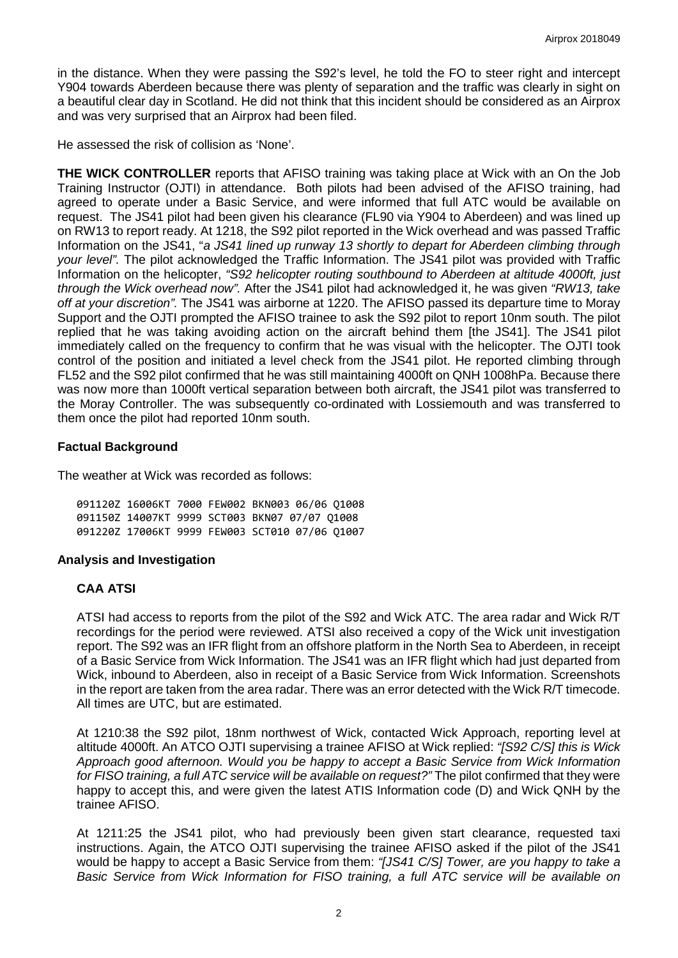in the distance. When they were passing the S92's level, he told the FO to steer right and intercept Y904 towards Aberdeen because there was plenty of separation and the traffic was clearly in sight on a beautiful clear day in Scotland. He did not think that this incident should be considered as an Airprox and was very surprised that an Airprox had been filed.

He assessed the risk of collision as 'None'.

**THE WICK CONTROLLER** reports that AFISO training was taking place at Wick with an On the Job Training Instructor (OJTI) in attendance. Both pilots had been advised of the AFISO training, had agreed to operate under a Basic Service, and were informed that full ATC would be available on request. The JS41 pilot had been given his clearance (FL90 via Y904 to Aberdeen) and was lined up on RW13 to report ready. At 1218, the S92 pilot reported in the Wick overhead and was passed Traffic Information on the JS41, "*a JS41 lined up runway 13 shortly to depart for Aberdeen climbing through your level".* The pilot acknowledged the Traffic Information. The JS41 pilot was provided with Traffic Information on the helicopter, *"S92 helicopter routing southbound to Aberdeen at altitude 4000ft, just through the Wick overhead now".* After the JS41 pilot had acknowledged it, he was given *"RW13, take off at your discretion".* The JS41 was airborne at 1220. The AFISO passed its departure time to Moray Support and the OJTI prompted the AFISO trainee to ask the S92 pilot to report 10nm south. The pilot replied that he was taking avoiding action on the aircraft behind them [the JS41]. The JS41 pilot immediately called on the frequency to confirm that he was visual with the helicopter. The OJTI took control of the position and initiated a level check from the JS41 pilot. He reported climbing through FL52 and the S92 pilot confirmed that he was still maintaining 4000ft on QNH 1008hPa. Because there was now more than 1000ft vertical separation between both aircraft, the JS41 pilot was transferred to the Moray Controller. The was subsequently co-ordinated with Lossiemouth and was transferred to them once the pilot had reported 10nm south.

### **Factual Background**

The weather at Wick was recorded as follows:

091120Z 16006KT 7000 FEW002 BKN003 06/06 Q1008 091150Z 14007KT 9999 SCT003 BKN07 07/07 Q1008 091220Z 17006KT 9999 FEW003 SCT010 07/06 Q1007

#### **Analysis and Investigation**

#### **CAA ATSI**

ATSI had access to reports from the pilot of the S92 and Wick ATC. The area radar and Wick R/T recordings for the period were reviewed. ATSI also received a copy of the Wick unit investigation report. The S92 was an IFR flight from an offshore platform in the North Sea to Aberdeen, in receipt of a Basic Service from Wick Information. The JS41 was an IFR flight which had just departed from Wick, inbound to Aberdeen, also in receipt of a Basic Service from Wick Information. Screenshots in the report are taken from the area radar. There was an error detected with the Wick R/T timecode. All times are UTC, but are estimated.

At 1210:38 the S92 pilot, 18nm northwest of Wick, contacted Wick Approach, reporting level at altitude 4000ft. An ATCO OJTI supervising a trainee AFISO at Wick replied: *"[S92 C/S] this is Wick Approach good afternoon. Would you be happy to accept a Basic Service from Wick Information for FISO training, a full ATC service will be available on request?"* The pilot confirmed that they were happy to accept this, and were given the latest ATIS Information code (D) and Wick QNH by the trainee AFISO.

At 1211:25 the JS41 pilot, who had previously been given start clearance, requested taxi instructions. Again, the ATCO OJTI supervising the trainee AFISO asked if the pilot of the JS41 would be happy to accept a Basic Service from them: *"[JS41 C/S] Tower, are you happy to take a Basic Service from Wick Information for FISO training, a full ATC service will be available on*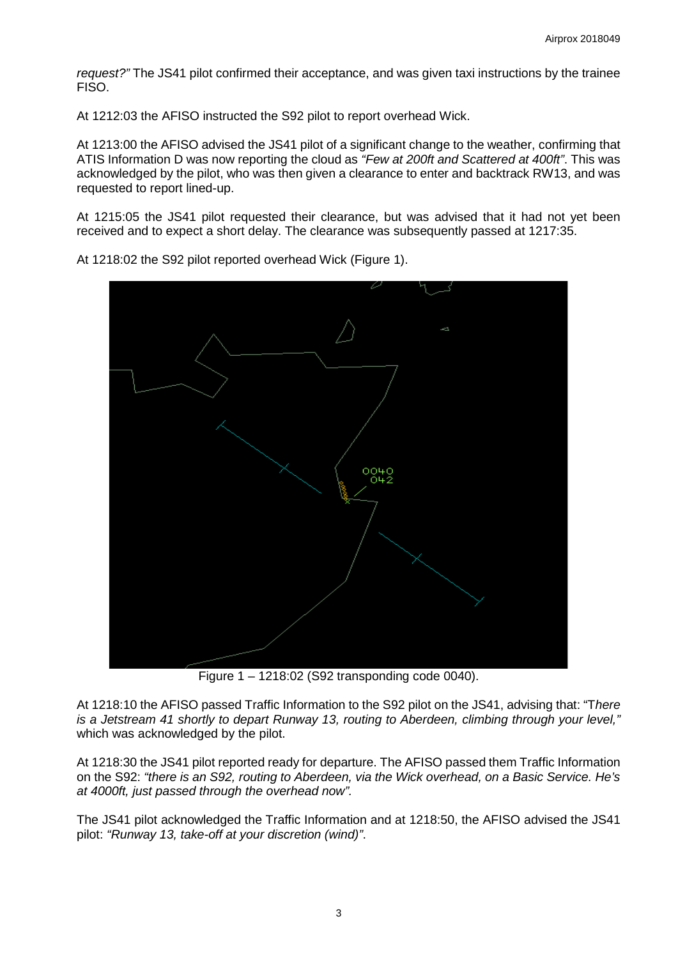*request?"* The JS41 pilot confirmed their acceptance, and was given taxi instructions by the trainee FISO.

At 1212:03 the AFISO instructed the S92 pilot to report overhead Wick.

At 1213:00 the AFISO advised the JS41 pilot of a significant change to the weather, confirming that ATIS Information D was now reporting the cloud as *"Few at 200ft and Scattered at 400ft"*. This was acknowledged by the pilot, who was then given a clearance to enter and backtrack RW13, and was requested to report lined-up.

At 1215:05 the JS41 pilot requested their clearance, but was advised that it had not yet been received and to expect a short delay. The clearance was subsequently passed at 1217:35.



At 1218:02 the S92 pilot reported overhead Wick (Figure 1).

Figure 1 – 1218:02 (S92 transponding code 0040).

At 1218:10 the AFISO passed Traffic Information to the S92 pilot on the JS41, advising that: "T*here is a Jetstream 41 shortly to depart Runway 13, routing to Aberdeen, climbing through your level,"* which was acknowledged by the pilot.

At 1218:30 the JS41 pilot reported ready for departure. The AFISO passed them Traffic Information on the S92: *"there is an S92, routing to Aberdeen, via the Wick overhead, on a Basic Service. He's at 4000ft, just passed through the overhead now".* 

The JS41 pilot acknowledged the Traffic Information and at 1218:50, the AFISO advised the JS41 pilot: *"Runway 13, take-off at your discretion (wind)"*.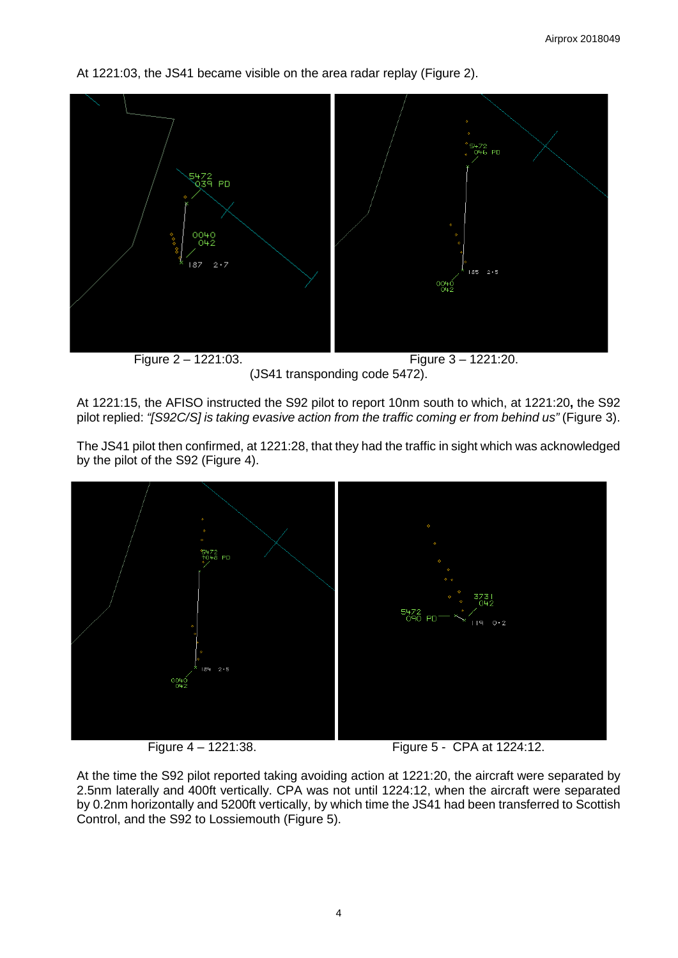At 1221:03, the JS41 became visible on the area radar replay (Figure 2).



(JS41 transponding code 5472).

At 1221:15, the AFISO instructed the S92 pilot to report 10nm south to which, at 1221:20**,** the S92 pilot replied: *"[S92C/S] is taking evasive action from the traffic coming er from behind us"* (Figure 3).

The JS41 pilot then confirmed, at 1221:28, that they had the traffic in sight which was acknowledged by the pilot of the S92 (Figure 4).



Figure 4 – 1221:38. Figure 5 - CPA at 1224:12.

At the time the S92 pilot reported taking avoiding action at 1221:20, the aircraft were separated by 2.5nm laterally and 400ft vertically. CPA was not until 1224:12, when the aircraft were separated by 0.2nm horizontally and 5200ft vertically, by which time the JS41 had been transferred to Scottish Control, and the S92 to Lossiemouth (Figure 5).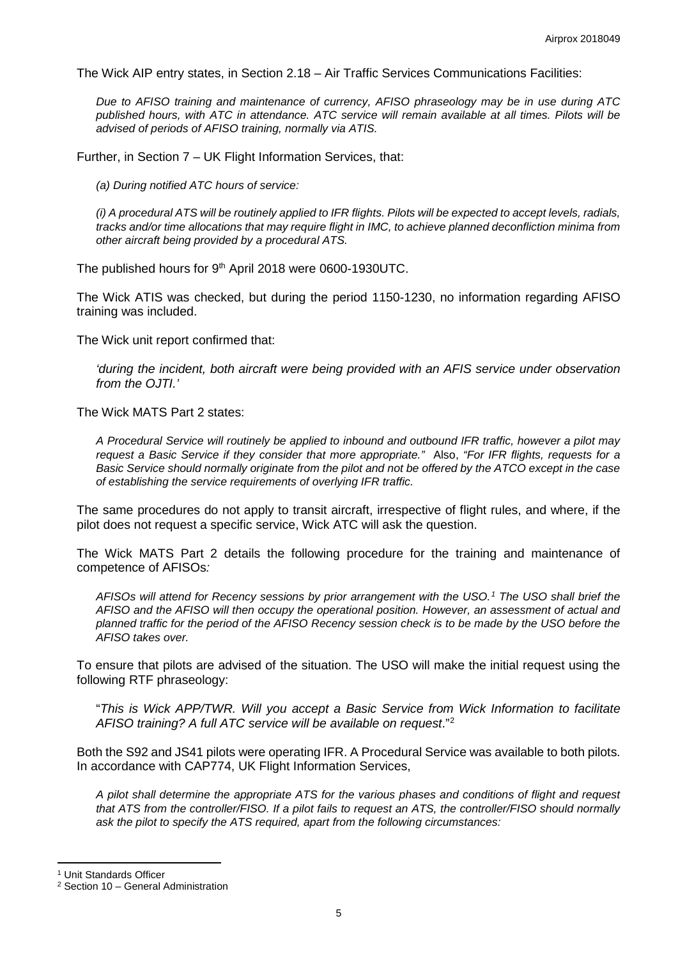The Wick AIP entry states, in Section 2.18 – Air Traffic Services Communications Facilities:

*Due to AFISO training and maintenance of currency, AFISO phraseology may be in use during ATC published hours, with ATC in attendance. ATC service will remain available at all times. Pilots will be advised of periods of AFISO training, normally via ATIS.*

Further, in Section 7 – UK Flight Information Services, that:

*(a) During notified ATC hours of service:*

*(i) A procedural ATS will be routinely applied to IFR flights. Pilots will be expected to accept levels, radials, tracks and/or time allocations that may require flight in IMC, to achieve planned deconfliction minima from other aircraft being provided by a procedural ATS.*

The published hours for 9<sup>th</sup> April 2018 were 0600-1930UTC.

The Wick ATIS was checked, but during the period 1150-1230, no information regarding AFISO training was included.

The Wick unit report confirmed that:

*'during the incident, both aircraft were being provided with an AFIS service under observation from the OJTI.'*

The Wick MATS Part 2 states:

*A Procedural Service will routinely be applied to inbound and outbound IFR traffic, however a pilot may request a Basic Service if they consider that more appropriate."* Also, *"For IFR flights, requests for a Basic Service should normally originate from the pilot and not be offered by the ATCO except in the case of establishing the service requirements of overlying IFR traffic.*

The same procedures do not apply to transit aircraft, irrespective of flight rules, and where, if the pilot does not request a specific service, Wick ATC will ask the question.

The Wick MATS Part 2 details the following procedure for the training and maintenance of competence of AFISOs*:*

*AFISOs will attend for Recency sessions by prior arrangement with the USO.[1](#page-4-0) The USO shall brief the AFISO and the AFISO will then occupy the operational position. However, an assessment of actual and planned traffic for the period of the AFISO Recency session check is to be made by the USO before the AFISO takes over.*

To ensure that pilots are advised of the situation. The USO will make the initial request using the following RTF phraseology:

"*This is Wick APP/TWR. Will you accept a Basic Service from Wick Information to facilitate AFISO training? A full ATC service will be available on request*."[2](#page-4-1)

Both the S92 and JS41 pilots were operating IFR. A Procedural Service was available to both pilots. In accordance with CAP774, UK Flight Information Services,

*A pilot shall determine the appropriate ATS for the various phases and conditions of flight and request that ATS from the controller/FISO. If a pilot fails to request an ATS, the controller/FISO should normally ask the pilot to specify the ATS required, apart from the following circumstances:*

l

<span id="page-4-0"></span><sup>1</sup> Unit Standards Officer

<span id="page-4-1"></span><sup>2</sup> Section 10 – General Administration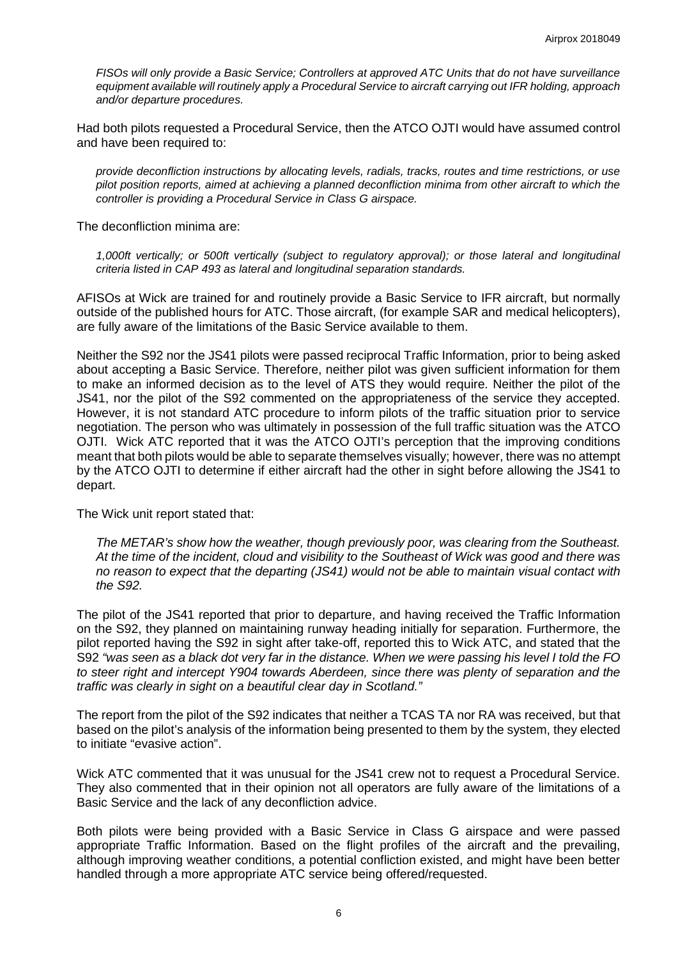*FISOs will only provide a Basic Service; Controllers at approved ATC Units that do not have surveillance equipment available will routinely apply a Procedural Service to aircraft carrying out IFR holding, approach and/or departure procedures.*

Had both pilots requested a Procedural Service, then the ATCO OJTI would have assumed control and have been required to:

*provide deconfliction instructions by allocating levels, radials, tracks, routes and time restrictions, or use pilot position reports, aimed at achieving a planned deconfliction minima from other aircraft to which the controller is providing a Procedural Service in Class G airspace.* 

The deconfliction minima are:

*1,000ft vertically; or 500ft vertically (subject to regulatory approval); or those lateral and longitudinal criteria listed in CAP 493 as lateral and longitudinal separation standards.*

AFISOs at Wick are trained for and routinely provide a Basic Service to IFR aircraft, but normally outside of the published hours for ATC. Those aircraft, (for example SAR and medical helicopters), are fully aware of the limitations of the Basic Service available to them.

Neither the S92 nor the JS41 pilots were passed reciprocal Traffic Information, prior to being asked about accepting a Basic Service. Therefore, neither pilot was given sufficient information for them to make an informed decision as to the level of ATS they would require. Neither the pilot of the JS41, nor the pilot of the S92 commented on the appropriateness of the service they accepted. However, it is not standard ATC procedure to inform pilots of the traffic situation prior to service negotiation. The person who was ultimately in possession of the full traffic situation was the ATCO OJTI. Wick ATC reported that it was the ATCO OJTI's perception that the improving conditions meant that both pilots would be able to separate themselves visually; however, there was no attempt by the ATCO OJTI to determine if either aircraft had the other in sight before allowing the JS41 to depart.

The Wick unit report stated that:

*The METAR's show how the weather, though previously poor, was clearing from the Southeast. At the time of the incident, cloud and visibility to the Southeast of Wick was good and there was no reason to expect that the departing (JS41) would not be able to maintain visual contact with the S92.*

The pilot of the JS41 reported that prior to departure, and having received the Traffic Information on the S92, they planned on maintaining runway heading initially for separation. Furthermore, the pilot reported having the S92 in sight after take-off, reported this to Wick ATC, and stated that the S92 *"was seen as a black dot very far in the distance. When we were passing his level I told the FO to steer right and intercept Y904 towards Aberdeen, since there was plenty of separation and the traffic was clearly in sight on a beautiful clear day in Scotland."*

The report from the pilot of the S92 indicates that neither a TCAS TA nor RA was received, but that based on the pilot's analysis of the information being presented to them by the system, they elected to initiate "evasive action".

Wick ATC commented that it was unusual for the JS41 crew not to request a Procedural Service. They also commented that in their opinion not all operators are fully aware of the limitations of a Basic Service and the lack of any deconfliction advice.

Both pilots were being provided with a Basic Service in Class G airspace and were passed appropriate Traffic Information. Based on the flight profiles of the aircraft and the prevailing, although improving weather conditions, a potential confliction existed, and might have been better handled through a more appropriate ATC service being offered/requested.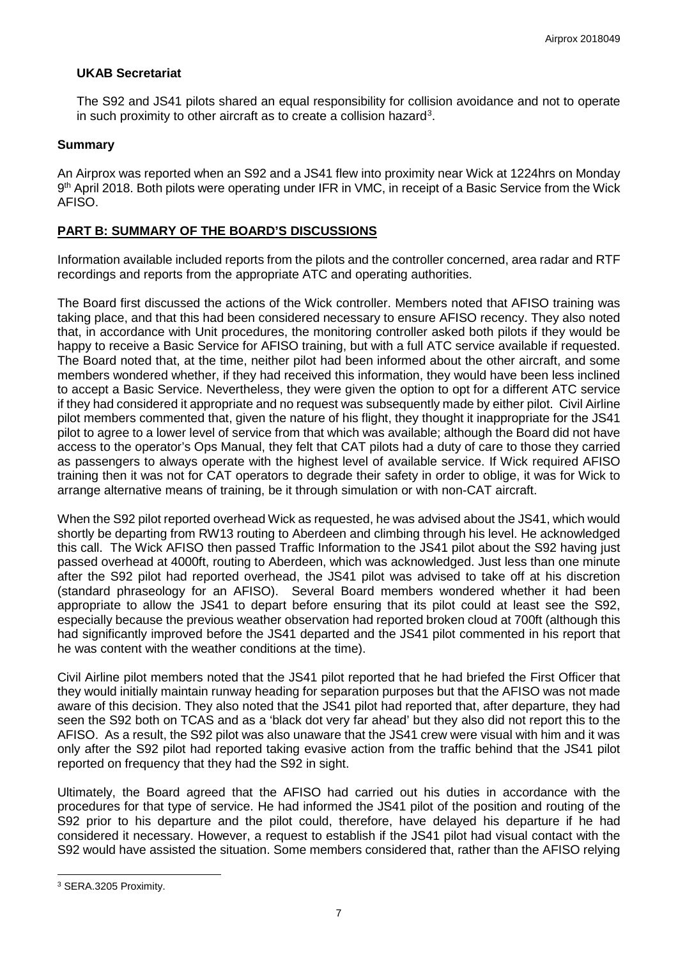### **UKAB Secretariat**

The S92 and JS41 pilots shared an equal responsibility for collision avoidance and not to operate in such proximity to other aircraft as to create a collision hazard<sup>3</sup>.

### **Summary**

An Airprox was reported when an S92 and a JS41 flew into proximity near Wick at 1224hrs on Monday 9<sup>th</sup> April 2018. Both pilots were operating under IFR in VMC, in receipt of a Basic Service from the Wick AFISO.

## **PART B: SUMMARY OF THE BOARD'S DISCUSSIONS**

Information available included reports from the pilots and the controller concerned, area radar and RTF recordings and reports from the appropriate ATC and operating authorities.

The Board first discussed the actions of the Wick controller. Members noted that AFISO training was taking place, and that this had been considered necessary to ensure AFISO recency. They also noted that, in accordance with Unit procedures, the monitoring controller asked both pilots if they would be happy to receive a Basic Service for AFISO training, but with a full ATC service available if requested. The Board noted that, at the time, neither pilot had been informed about the other aircraft, and some members wondered whether, if they had received this information, they would have been less inclined to accept a Basic Service. Nevertheless, they were given the option to opt for a different ATC service if they had considered it appropriate and no request was subsequently made by either pilot. Civil Airline pilot members commented that, given the nature of his flight, they thought it inappropriate for the JS41 pilot to agree to a lower level of service from that which was available; although the Board did not have access to the operator's Ops Manual, they felt that CAT pilots had a duty of care to those they carried as passengers to always operate with the highest level of available service. If Wick required AFISO training then it was not for CAT operators to degrade their safety in order to oblige, it was for Wick to arrange alternative means of training, be it through simulation or with non-CAT aircraft.

When the S92 pilot reported overhead Wick as requested, he was advised about the JS41, which would shortly be departing from RW13 routing to Aberdeen and climbing through his level. He acknowledged this call. The Wick AFISO then passed Traffic Information to the JS41 pilot about the S92 having just passed overhead at 4000ft, routing to Aberdeen, which was acknowledged. Just less than one minute after the S92 pilot had reported overhead, the JS41 pilot was advised to take off at his discretion (standard phraseology for an AFISO). Several Board members wondered whether it had been appropriate to allow the JS41 to depart before ensuring that its pilot could at least see the S92, especially because the previous weather observation had reported broken cloud at 700ft (although this had significantly improved before the JS41 departed and the JS41 pilot commented in his report that he was content with the weather conditions at the time).

Civil Airline pilot members noted that the JS41 pilot reported that he had briefed the First Officer that they would initially maintain runway heading for separation purposes but that the AFISO was not made aware of this decision. They also noted that the JS41 pilot had reported that, after departure, they had seen the S92 both on TCAS and as a 'black dot very far ahead' but they also did not report this to the AFISO. As a result, the S92 pilot was also unaware that the JS41 crew were visual with him and it was only after the S92 pilot had reported taking evasive action from the traffic behind that the JS41 pilot reported on frequency that they had the S92 in sight.

Ultimately, the Board agreed that the AFISO had carried out his duties in accordance with the procedures for that type of service. He had informed the JS41 pilot of the position and routing of the S92 prior to his departure and the pilot could, therefore, have delayed his departure if he had considered it necessary. However, a request to establish if the JS41 pilot had visual contact with the S92 would have assisted the situation. Some members considered that, rather than the AFISO relying

 $\overline{\phantom{a}}$ 

<span id="page-6-0"></span><sup>3</sup> SERA.3205 Proximity.